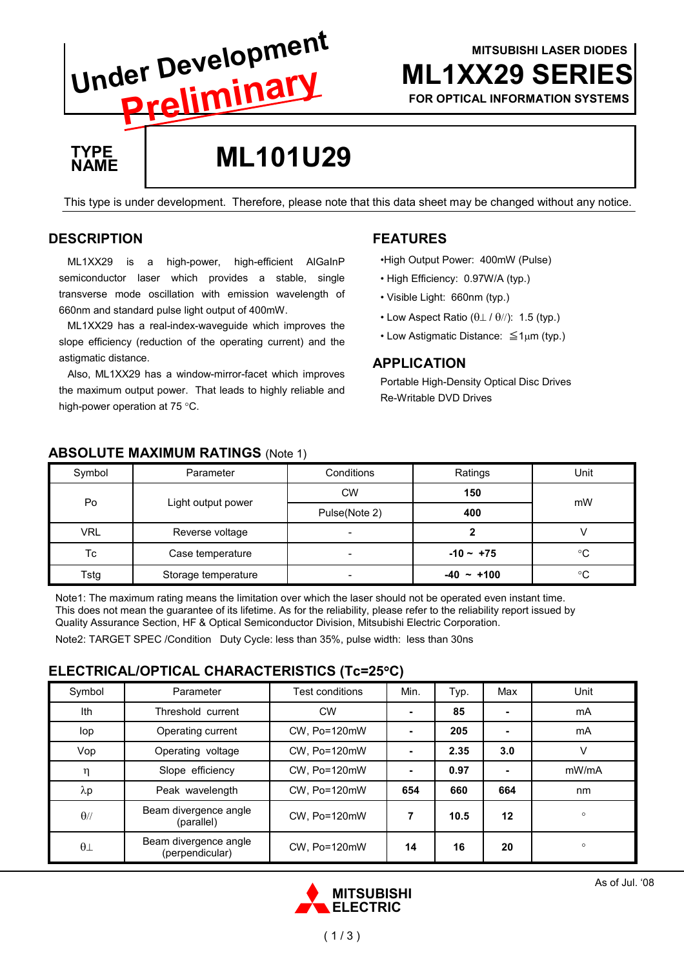# **ML1XX29 SERIE** MITSUBISHI LASER DIODES Under Development FOR OPTICAL INFORMATION SYSTEMS Preliminary TYPE ML101U29 NAME This type is under development. Therefore, please note that this data sheet may be changed without any notice.

## **DESCRIPTION**

ML1XX29 is a high-power, high-efficient AlGaInP semiconductor laser which provides a stable, single transverse mode oscillation with emission wavelength of 660nm and standard pulse light output of 400mW.

ML1XX29 has a real-index-waveguide which improves the slope efficiency (reduction of the operating current) and the astigmatic distance.

Also, ML1XX29 has a window-mirror-facet which improves the maximum output power. That leads to highly reliable and high-power operation at 75 °C.

## FEATURES

•High Output Power: 400mW (Pulse)

- High Efficiency: 0.97W/A (typ.)
- Visible Light: 660nm (typ.)
- Low Aspect Ratio  $(\theta \perp / \theta)$ : 1.5 (typ.)
- Low Astigmatic Distance: ≦1µm (typ.)

## APPLICATION

Portable High-Density Optical Disc Drives Re-Writable DVD Drives

| Symbol     | Parameter           | Conditions               | Ratings      | Unit |
|------------|---------------------|--------------------------|--------------|------|
| Po         | Light output power  | <b>CW</b>                | 150          | mW   |
|            |                     | Pulse(Note 2)            | 400          |      |
| <b>VRL</b> | Reverse voltage     | $\overline{\phantom{a}}$ |              |      |
| Тc         | Case temperature    | -                        | $-10 - +75$  | °C   |
| Tstg       | Storage temperature | $\overline{\phantom{a}}$ | $-40 - +100$ | °C   |

### ABSOLUTE MAXIMUM RATINGS (Note 1)

Note1: The maximum rating means the limitation over which the laser should not be operated even instant time. This does not mean the guarantee of its lifetime. As for the reliability, please refer to the reliability report issued by Quality Assurance Section, HF & Optical Semiconductor Division, Mitsubishi Electric Corporation.

Note2: TARGET SPEC /Condition Duty Cycle: less than 35%, pulse width: less than 30ns

### ELECTRICAL/OPTICAL CHARACTERISTICS (Tc=25°C)

| Symbol      | Parameter                                | Test conditions | Min.                     | Typ. | Max            | Unit    |
|-------------|------------------------------------------|-----------------|--------------------------|------|----------------|---------|
| Ith         | Threshold current                        | <b>CW</b>       | ٠                        | 85   | $\blacksquare$ | mA      |
| lop         | Operating current                        | CW, Po=120mW    |                          | 205  | $\blacksquare$ | mA      |
| Vop         | Operating voltage                        | CW. Po=120mW    | ۰                        | 2.35 | 3.0            | v       |
| η           | Slope efficiency                         | CW. Po=120mW    | $\overline{\phantom{0}}$ | 0.97 | ۰              | mW/mA   |
| $\lambda p$ | Peak wavelength                          | CW, Po=120mW    | 654                      | 660  | 664            | nm      |
| $\theta$ // | Beam divergence angle<br>(parallel)      | CW. Po=120mW    | 7                        | 10.5 | 12             | $\circ$ |
| $\theta$    | Beam divergence angle<br>(perpendicular) | CW, Po=120mW    | 14                       | 16   | 20             | $\circ$ |

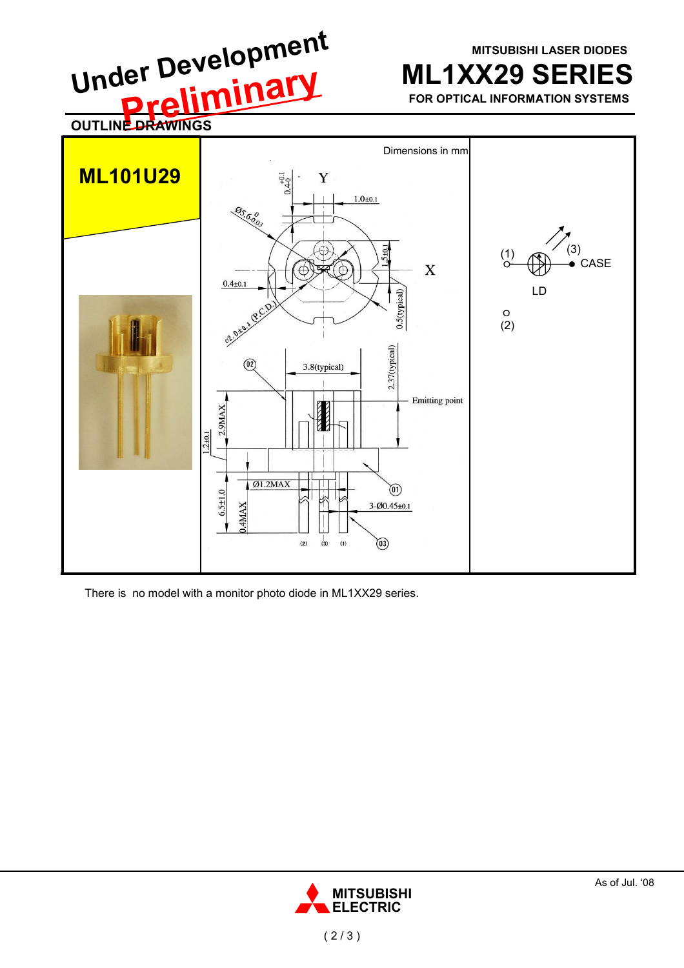**MITSUBISHI LASER DIODES** 

**ML1XX29 SERIES** 

FOR OPTICAL INFORMATION SYSTEMS



There is no model with a monitor photo diode in ML1XX29 series.